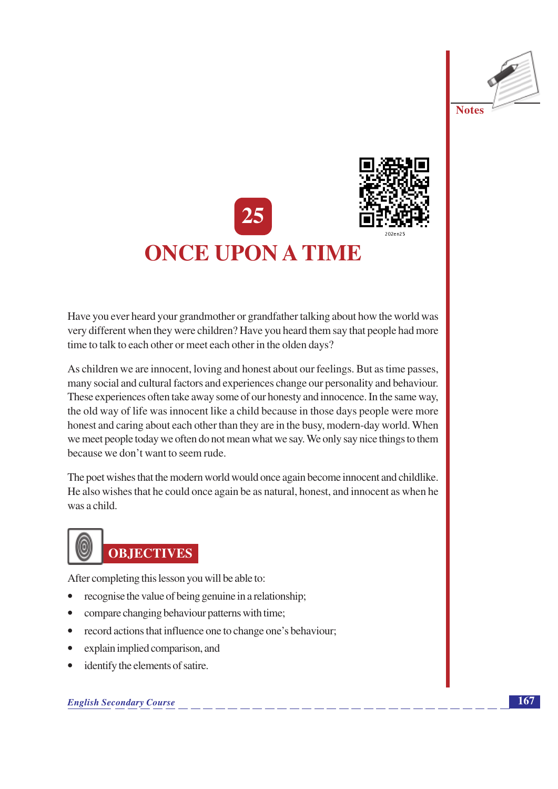





## **ONCE UPON A TIME**

Have you ever heard your grandmother or grandfather talking about how the world was very different when they were children? Have you heard them say that people had more time to talk to each other or meet each other in the olden days?

As children we are innocent, loving and honest about our feelings. But as time passes, many social and cultural factors and experiences change our personality and behaviour. These experiences often take away some of our honesty and innocence. In the same way, the old way of life was innocent like a child because in those days people were more honest and caring about each other than they are in the busy, modern-day world. When we meet people today we often do not mean what we say. We only say nice things to them because we don't want to seem rude.

The poet wishes that the modern world would once again become innocent and childlike. He also wishes that he could once again be as natural, honest, and innocent as when he was a child.

# **OBJECTIVES**

After completing this lesson you will be able to:

- recognise the value of being genuine in a relationship;  $\bullet$
- compare changing behaviour patterns with time;
- record actions that influence one to change one's behaviour;  $\bullet$
- $\bullet$ explain implied comparison, and
- identify the elements of satire.  $\bullet$

#### **English Secondary Course**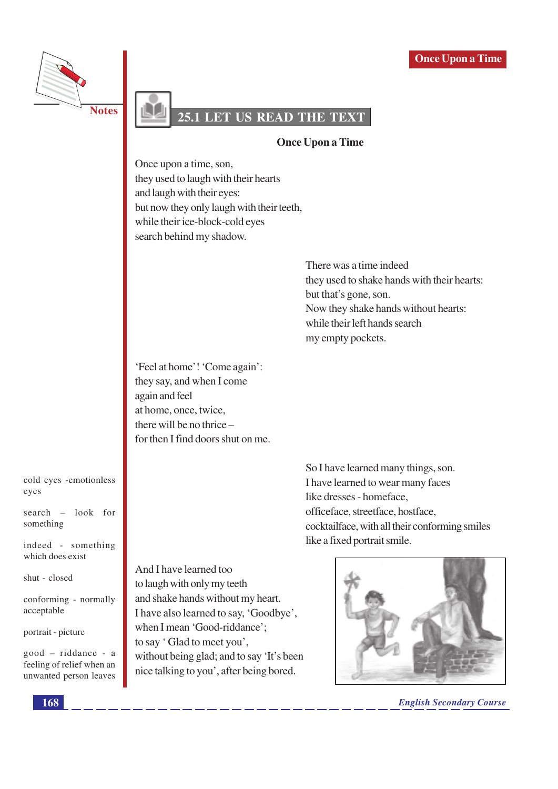

## LET US READ THE TEXT

#### **Once Upon a Time**

Once upon a time, son, they used to laugh with their hearts and laugh with their eyes: but now they only laugh with their teeth, while their ice-block-cold eyes search behind my shadow.

> There was a time indeed they used to shake hands with their hearts: but that's gone, son. Now they shake hands without hearts: while their left hands search my empty pockets.

'Feel at home'! 'Come again': they say, and when I come again and feel at home, once, twice, there will be no thrice  $$ for then I find doors shut on me.

> So I have learned many things, son. I have learned to wear many faces like dresses - homeface, officeface, streetface, hostface, cocktailface, with all their conforming smiles like a fixed portrait smile.

search - look for something

cold eyes -emotionless

indeed - something which does exist

shut - closed

eyes

conforming - normally acceptable

portrait - picture

 $good$  - riddance - a feeling of relief when an unwanted person leaves

168

And I have learned too to laugh with only my teeth and shake hands without my heart. I have also learned to say, 'Goodbye', when I mean 'Good-riddance': to say 'Glad to meet you'. without being glad; and to say 'It's been nice talking to you', after being bored.



**English Secondary Course**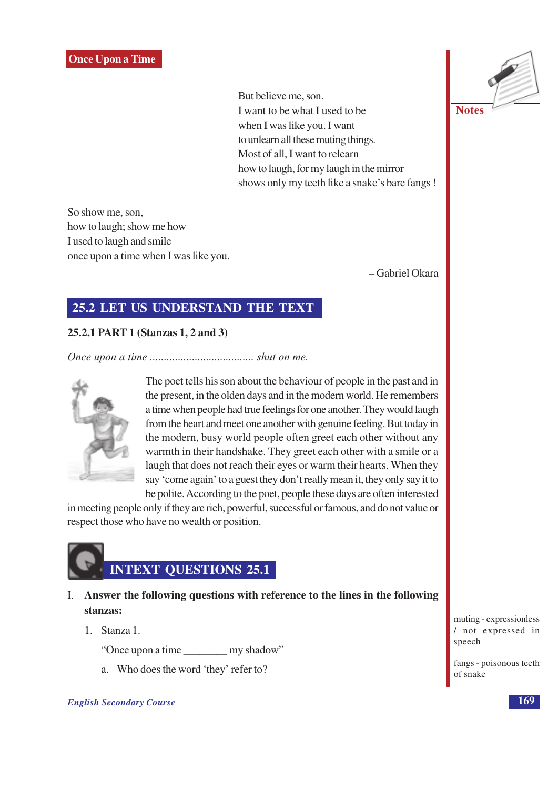But believe me, son. I want to be what I used to be when I was like you. I want to unlearn all these muting things. Most of all. I want to relearn how to laugh, for my laugh in the mirror shows only my teeth like a snake's bare fangs!

So show me, son, how to laugh; show me how I used to laugh and smile once upon a time when I was like you.

 $-$ Gabriel Okara

**Notes** 

### 25.2 LET US UNDERSTAND THE TEXT

#### 25.2.1 PART 1 (Stanzas 1, 2 and 3)



The poet tells his son about the behaviour of people in the past and in the present, in the olden days and in the modern world. He remembers a time when people had true feelings for one another. They would laugh from the heart and meet one another with genuine feeling. But today in the modern, busy world people often greet each other without any warmth in their handshake. They greet each other with a smile or a laugh that does not reach their eyes or warm their hearts. When they say 'come again' to a guest they don't really mean it, they only say it to be polite. According to the poet, people these days are often interested

in meeting people only if they are rich, powerful, successful or famous, and do not value or respect those who have no wealth or position.



#### I. Answer the following questions with reference to the lines in the following stanzas:

1. Stanza 1.

a. Who does the word 'they' refer to?

#### **English Secondary Course**

muting - expressionless / not expressed in speech

fangs - poisonous teeth of snake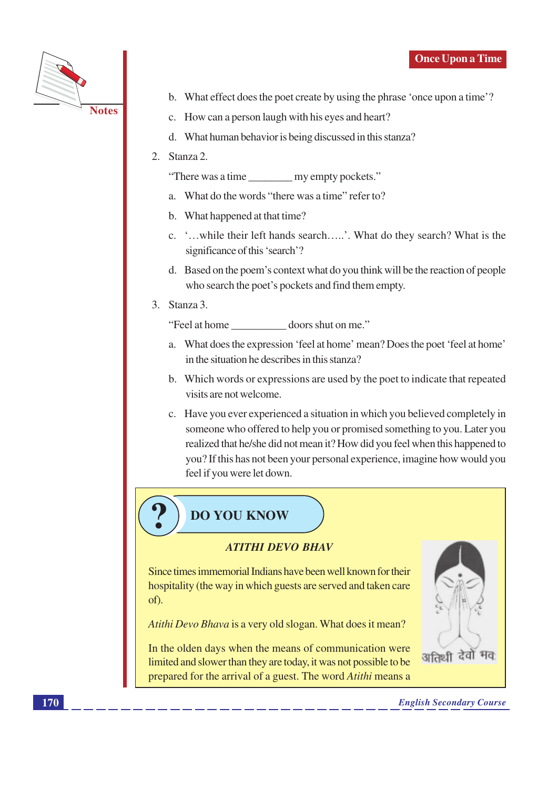

- b. What effect does the poet create by using the phrase 'once upon a time'?
- c. How can a person laugh with his eyes and heart?
- d. What human behavior is being discussed in this stanza?
- 2. Stanza 2.

"There was a time \_\_\_\_\_\_\_\_\_\_ my empty pockets."

- a. What do the words "there was a time" refer to?
- b. What happened at that time?
- c. '...while their left hands search.....'. What do they search? What is the significance of this 'search'?
- d. Based on the poem's context what do you think will be the reaction of people who search the poet's pockets and find them empty.
- 3. Stanza 3.

"Feel at home doors shut on me."

- a. What does the expression 'feel at home' mean? Does the poet 'feel at home' in the situation he describes in this stanza?
- b. Which words or expressions are used by the poet to indicate that repeated visits are not welcome.
- c. Have you ever experienced a situation in which you believed completely in someone who offered to help you or promised something to you. Later you realized that he/she did not mean it? How did you feel when this happened to you? If this has not been your personal experience, imagine how would you feel if you were let down.

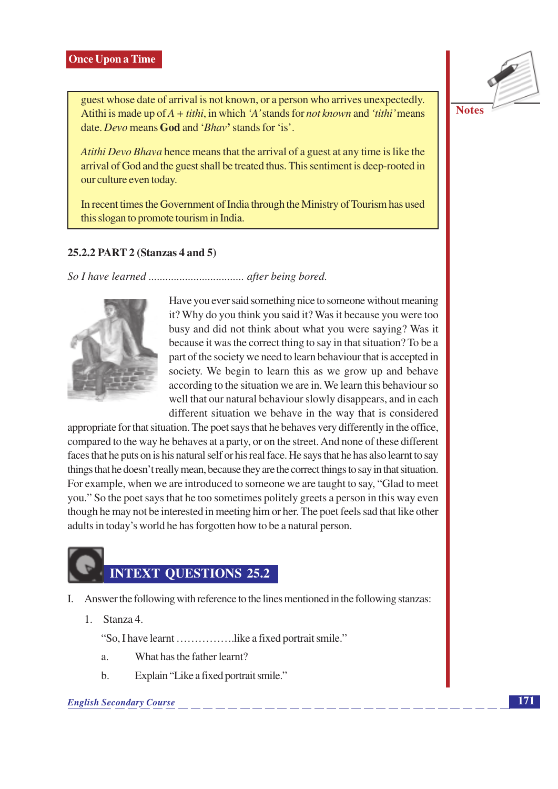#### **Once Upon a Time**

guest whose date of arrival is not known, or a person who arrives unexpectedly. Atithi is made up of  $A + tithi$ , in which 'A' stands for *not known* and '*tithi*' means date. Devo means God and 'Bhay' stands for 'is'.

Atithi Devo Bhava hence means that the arrival of a guest at any time is like the arrival of God and the guest shall be treated thus. This sentiment is deep-rooted in our culture even today.

In recent times the Government of India through the Ministry of Tourism has used this slogan to promote tourism in India.

#### 25.2.2 PART 2 (Stanzas 4 and 5)



Have you ever said something nice to someone without meaning it? Why do you think you said it? Was it because you were too busy and did not think about what you were saying? Was it because it was the correct thing to say in that situation? To be a part of the society we need to learn behaviour that is accepted in society. We begin to learn this as we grow up and behave according to the situation we are in. We learn this behaviour so well that our natural behaviour slowly disappears, and in each different situation we behave in the way that is considered

appropriate for that situation. The poet says that he behaves very differently in the office, compared to the way he behaves at a party, or on the street. And none of these different faces that he puts on is his natural self or his real face. He says that he has also learnt to say things that he doesn't really mean, because they are the correct things to say in that situation. For example, when we are introduced to someone we are taught to say, "Glad to meet" you." So the poet says that he too sometimes politely greets a person in this way even though he may not be interested in meeting him or her. The poet feels sad that like other adults in today's world he has forgotten how to be a natural person.

## **INTEXT QUESTIONS 25.2**

- I. Answer the following with reference to the lines mentioned in the following stanzas:
	- $1.$ Stanza 4.

"So, I have learnt ..................like a fixed portrait smile."

- What has the father learnt?  $\mathbf{a}$ .
- Explain "Like a fixed portrait smile."  $h$

#### **English Secondary Course**

171

**Notes**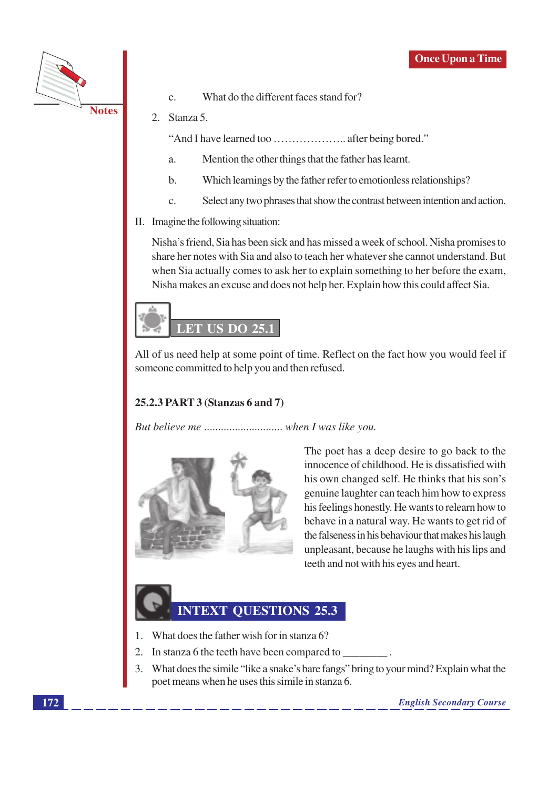

- What do the different faces stand for?  $\mathbf{c}$ .
- 2. Stanza 5.

- Mention the other things that the father has learnt. a.
- $\mathbf{b}$ . Which learnings by the father refer to emotionless relationships?
- Select any two phrases that show the contrast between intention and action.  $\mathbf{c}$ .
- II. Imagine the following situation:

Nisha's friend, Sia has been sick and has missed a week of school. Nisha promises to share her notes with Sia and also to teach her whatever she cannot understand. But when Sia actually comes to ask her to explain something to her before the exam, Nisha makes an excuse and does not help her. Explain how this could affect Sia.



All of us need help at some point of time. Reflect on the fact how you would feel if someone committed to help you and then refused.

#### 25.2.3 PART 3 (Stanzas 6 and 7)



The poet has a deep desire to go back to the innocence of childhood. He is dissatisfied with his own changed self. He thinks that his son's genuine laughter can teach him how to express his feelings honestly. He wants to relearn how to behave in a natural way. He wants to get rid of the falseness in his behaviour that makes his laugh unpleasant, because he laughs with his lips and teeth and not with his eyes and heart.

## **NTEXT OUESTIONS 25.3**

- What does the father wish for in stanza 6? 1.
- $2.$ In stanza 6 the teeth have been compared to \_\_
- $\mathfrak{Z}$ . What does the simile "like a snake's bare fangs" bring to your mind? Explain what the poet means when he uses this simile in stanza 6.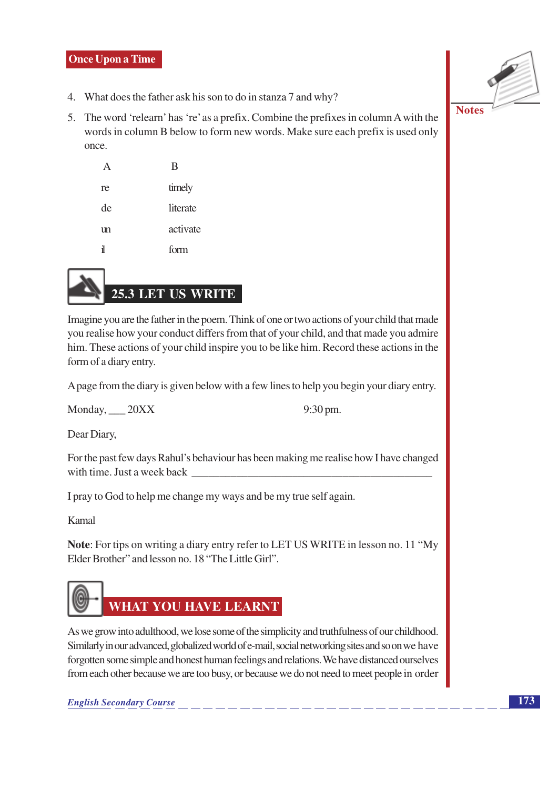#### **Once Upon a Time**

**Notes** 

- 4. What does the father ask his son to do in stanza 7 and why?
- 5. The word 'relearn' has 're' as a prefix. Combine the prefixes in column A with the words in column B below to form new words. Make sure each prefix is used only once.

| A  | B        |
|----|----------|
| re | timely   |
| de | literate |
| un | activate |
| 1  | torm     |



Imagine you are the father in the poem. Think of one or two actions of your child that made you realise how your conduct differs from that of your child, and that made you admire him. These actions of your child inspire you to be like him. Record these actions in the form of a diary entry.

A page from the diary is given below with a few lines to help you begin your diary entry.

Monday, 20XX

 $9:30 \,\mathrm{pm}$ .

Dear Diary,

For the past few days Rahul's behaviour has been making me realise how I have changed with time. Just a week back

I pray to God to help me change my ways and be my true self again.

Kamal

Note: For tips on writing a diary entry refer to LET US WRITE in lesson no. 11 "My Elder Brother" and lesson no. 18 "The Little Girl".



As we grow into adulthood, we lose some of the simplicity and truthfulness of our childhood. Similarly in our advanced, globalized world of e-mail, social networking sites and so on we have forgotten some simple and honest human feelings and relations. We have distanced ourselves from each other because we are too busy, or because we do not need to meet people in order

**English Secondary Course**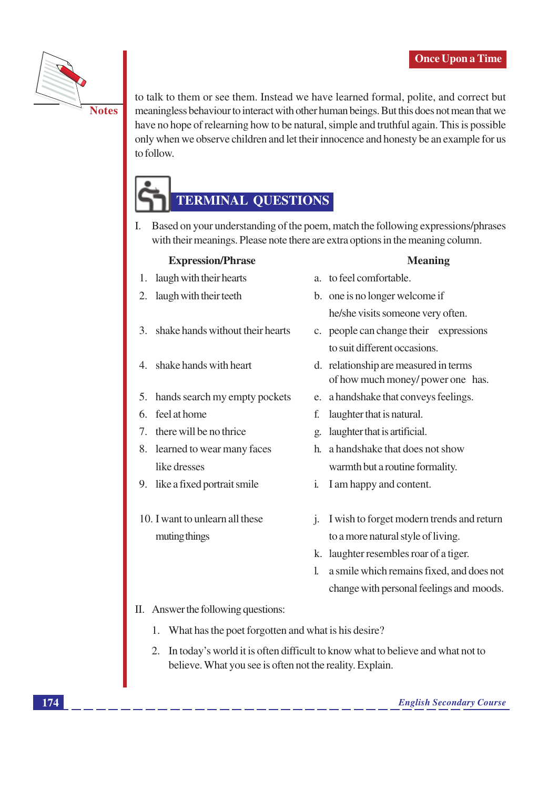

to talk to them or see them. Instead we have learned formal, polite, and correct but meaningless behaviour to interact with other human beings. But this does not mean that we have no hope of relearning how to be natural, simple and truthful again. This is possible only when we observe children and let their innocence and honesty be an example for us to follow.

## **TERMINAL QUESTIONS**

Based on your understanding of the poem, match the following expressions/phrases  $\mathbf{L}$ with their meanings. Please note there are extra options in the meaning column.

#### **Expression/Phrase**

- 1. laugh with their hearts
- 2. laugh with their teeth
- 3. shake hands without their hearts
- 4. shake hands with heart
- 5. hands search my empty pockets
- 6. feel at home
- 7. there will be no thrice
- 8. learned to wear many faces like dresses
- 9. like a fixed portrait smile
- 10. I want to unlearn all these muting things

#### **Meaning**

- a. to feel comfortable.
- b. one is no longer welcome if he/she visits someone very often.
- c. people can change their expressions to suit different occasions.
- d. relationship are measured in terms of how much money/ power one has.
- e. a handshake that conveys feelings.
- f. laughter that is natural.
- g. laughter that is artificial.
- h. a handshake that does not show warmth but a routine formality.
- i. I am happy and content.
- j. I wish to forget modern trends and return to a more natural style of living.
- k. laughter resembles roar of a tiger.
- 1 a smile which remains fixed and does not change with personal feelings and moods.
- II. Answer the following questions:
	- 1. What has the poet forgotten and what is his desire?
	- 2. In today's world it is often difficult to know what to believe and what not to believe. What you see is often not the reality. Explain.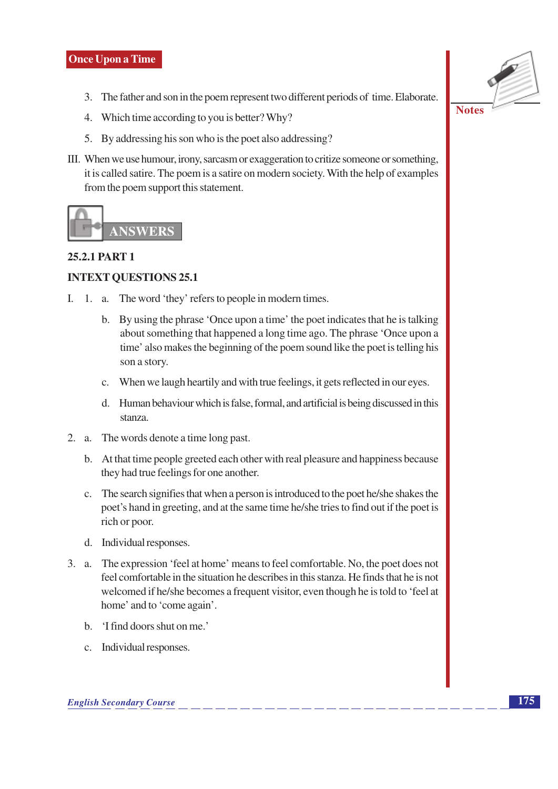- 3. The father and son in the poem represent two different periods of time. Elaborate.
- 4. Which time according to you is better? Why?
- 5. By addressing his son who is the poet also addressing?
- III. When we use humour, irony, sarcasm or exaggeration to critize someone or something. it is called satire. The poem is a satire on modern society. With the help of examples from the poem support this statement.



#### 25.2.1 PART 1

#### **INTEXT QUESTIONS 25.1**

- I. 1. a. The word 'they' refers to people in modern times.
	- b. By using the phrase 'Once upon a time' the poet indicates that he is talking about something that happened a long time ago. The phrase 'Once upon a time' also makes the beginning of the poem sound like the poet is telling his son a story.
	- c. When we laugh heartily and with true feelings, it gets reflected in our eyes.
	- d. Human behaviour which is false, formal, and artificial is being discussed in this stanza.
- 2. a. The words denote a time long past.
	- b. At that time people greeted each other with real pleasure and happiness because they had true feelings for one another.
	- c. The search signifies that when a person is introduced to the poet he/she shakes the poet's hand in greeting, and at the same time he/she tries to find out if the poet is rich or poor.
	- d. Individual responses.
- 3. a. The expression 'feel at home' means to feel comfortable. No, the poet does not feel comfortable in the situation he describes in this stanza. He finds that he is not welcomed if he/she becomes a frequent visitor, even though he is told to 'feel at home' and to 'come again'.
	- b. 'I find doors shut on me.'
	- c. Individual responses.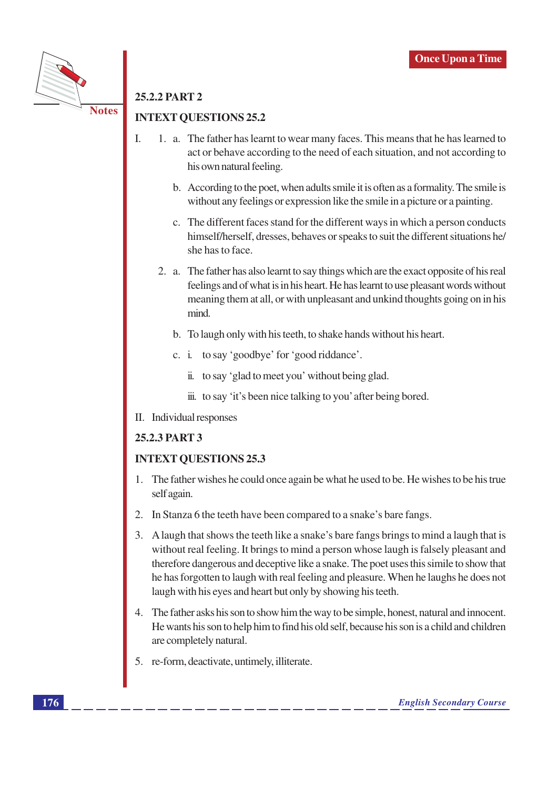

#### 25.2.2 PART 2

#### **INTEXT QUESTIONS 25.2**

- 1. a. The father has learnt to wear many faces. This means that he has learned to  $\overline{L}$ act or behave according to the need of each situation, and not according to his own natural feeling.
	- b. According to the poet, when adults smile it is often as a formality. The smile is without any feelings or expression like the smile in a picture or a painting.
	- c. The different faces stand for the different ways in which a person conducts himself/herself, dresses, behaves or speaks to suit the different situations he/ she has to face.
	- 2. a. The father has also learnt to say things which are the exact opposite of his real feelings and of what is in his heart. He has learnt to use pleasant words without meaning them at all, or with unpleasant and unkind thoughts going on in his mind.
		- b. To laugh only with his teeth, to shake hands without his heart.
		- c. i. to say 'goodbye' for 'good riddance'.
			- ii. to say 'glad to meet you' without being glad.
			- iii. to say 'it's been nice talking to you' after being bored.
- II. Individual responses

#### 25.2.3 PART 3

#### **INTEXT QUESTIONS 25.3**

- 1. The father wishes he could once again be what he used to be. He wishes to be his true self again.
- 2. In Stanza 6 the teeth have been compared to a snake's bare fangs.
- 3. A laugh that shows the teeth like a snake's bare fangs brings to mind a laugh that is without real feeling. It brings to mind a person whose laugh is falsely pleasant and therefore dangerous and deceptive like a snake. The poet uses this simile to show that he has forgotten to laugh with real feeling and pleasure. When he laughs he does not laugh with his eves and heart but only by showing his teeth.
- 4. The father asks his son to show him the way to be simple, honest, natural and innocent. He wants his son to help him to find his old self, because his son is a child and children are completely natural.
- 5. re-form, deactivate, untimely, illiterate.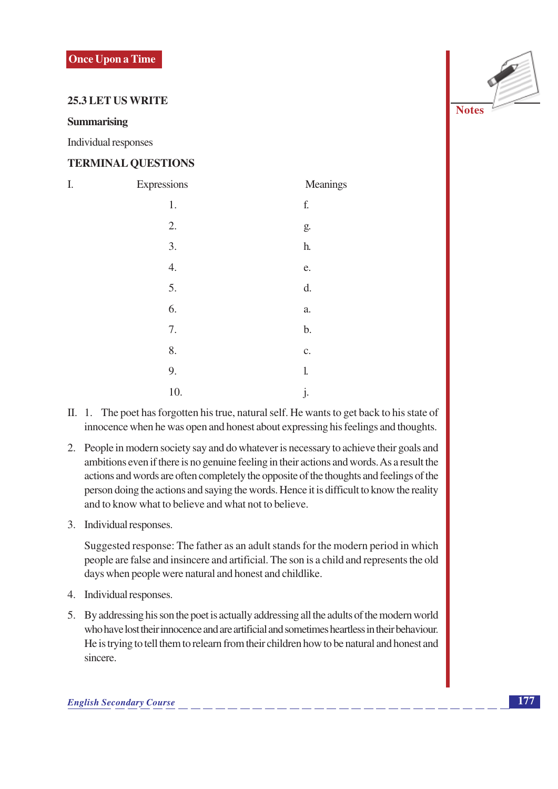#### 25.3 LET US WRITE

#### **Summarising**

Individual responses

#### **TERMINAL QUESTIONS**

| I. | Expressions | Meanings       |
|----|-------------|----------------|
|    | 1.          | ${\rm f.}$     |
|    | 2.          | g.             |
|    | 3.          | h.             |
|    | 4.          | e.             |
|    | 5.          | $\mathrm{d}.$  |
|    | 6.          | a.             |
|    | 7.          | b.             |
|    | 8.          | $\mathbf{c}$ . |
|    | 9.          | 1.             |
|    | 10.         | j.             |

- II. 1. The poet has forgotten his true, natural self. He wants to get back to his state of innocence when he was open and honest about expressing his feelings and thoughts.
- 2. People in modern society say and do whatever is necessary to achieve their goals and ambitions even if there is no genuine feeling in their actions and words. As a result the actions and words are often completely the opposite of the thoughts and feelings of the person doing the actions and saying the words. Hence it is difficult to know the reality and to know what to believe and what not to believe.
- 3. Individual responses.

Suggested response: The father as an adult stands for the modern period in which people are false and insincere and artificial. The son is a child and represents the old days when people were natural and honest and childlike.

- 4. Individual responses.
- 5. By addressing his son the poet is actually addressing all the adults of the modern world who have lost their innocence and are artificial and sometimes heartless in their behaviour. He is trying to tell them to relearn from their children how to be natural and honest and sincere.